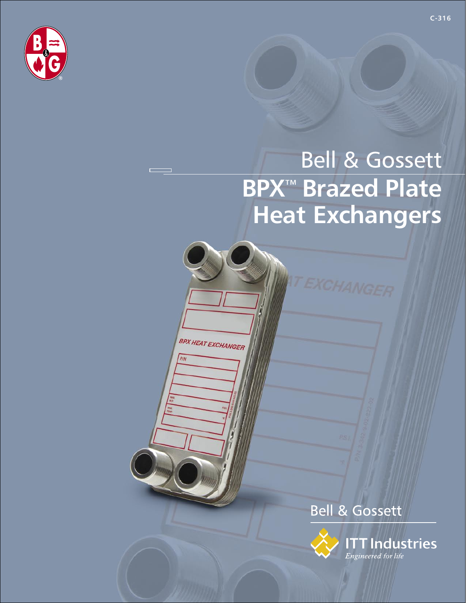

# **Bell & Gossett BPX<sup>™</sup> Brazed Plate Heat Exchangers**

**BPX HEAT EXCHANGER** 

PIN

**Bell & Gossett** 

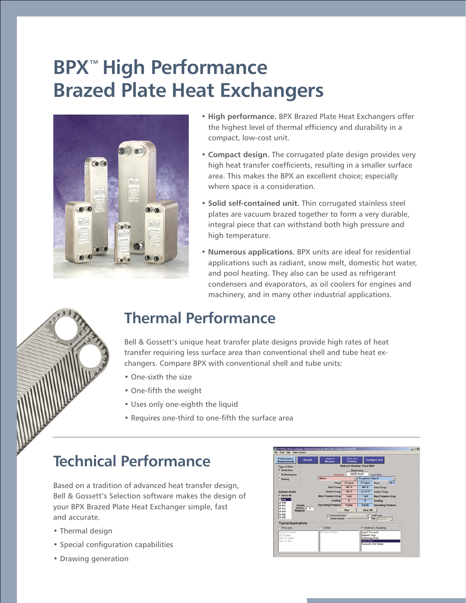## **BPX**™ **High Performance Brazed Plate Heat Exchangers**



- **High performance.** BPX Brazed Plate Heat Exchangers offer the highest level of thermal efficiency and durability in a compact, low-cost unit.
- **Compact design.** The corrugated plate design provides very high heat transfer coefficients, resulting in a smaller surface area. This makes the BPX an excellent choice; especially where space is a consideration.
- **Solid self-contained unit.** Thin corrugated stainless steel plates are vacuum brazed together to form a very durable, integral piece that can withstand both high pressure and high temperature.
- **Numerous applications.** BPX units are ideal for residential applications such as radiant, snow melt, domestic hot water, and pool heating. They also can be used as refrigerant condensers and evaporators, as oil coolers for engines and machinery, and in many other industrial applications.



### **Thermal Performance**

Bell & Gossett's unique heat transfer plate designs provide high rates of heat transfer requiring less surface area than conventional shell and tube heat exchangers. Compare BPX with conventional shell and tube units:

- One-sixth the size
- One-fifth the weight
- Uses only one-eighth the liquid
- Requires one-third to one-fifth the surface area

### **Technical Performance**

Based on a tradition of advanced heat transfer design, Bell & Gossett's Selection software makes the design of your BPX Brazed Plate Heat Exchanger simple, fast and accurate.

- Thermal design
- Special configuration capabilities
- Drawing generation

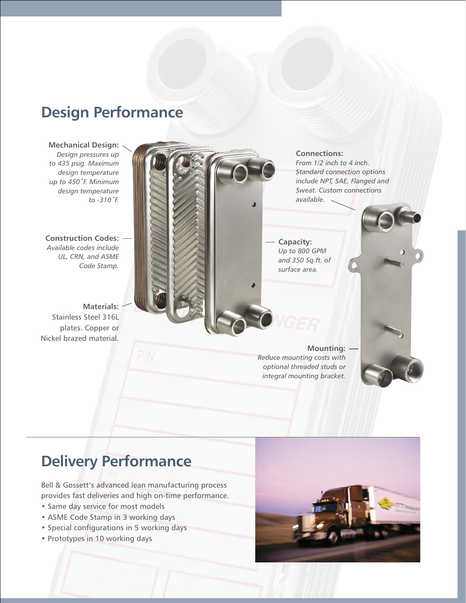### **Design Performance**

**Mechanical Design:**  *Design pressures up to 435 psig. Maximum design temperature up to 450˚F. Minimum design temperature to -310˚F.*

**Construction Codes:** *Available codes include UL, CRN, and ASME Code Stamp.*

**Materials:**  Stainless Steel 316L plates. Copper or Nickel brazed material.



### **Delivery Performance**

Bell & Gossett's advanced lean manufacturing process provides fast deliveries and high on-time performance.

- Same day service for most models
- ASME Code Stamp in 3 working days
- Special configurations in 5 working days
- Prototypes in 10 working days



*integral mounting bracket.*